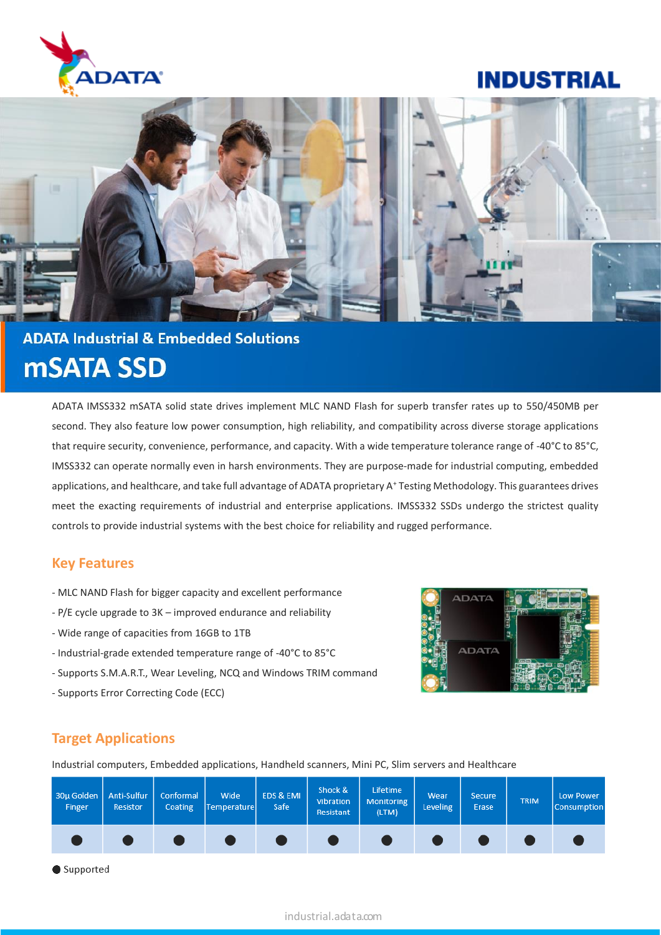

# **INDUSTRIAL**



# **ADATA Industrial & Embedded Solutions mSATA SSD**

ADATA IMSS332 mSATA solid state drives implement MLC NAND Flash for superb transfer rates up to 550/450MB per second. They also feature low power consumption, high reliability, and compatibility across diverse storage applications that require security, convenience, performance, and capacity. With a wide temperature tolerance range of -40°C to 85°C, IMSS332 can operate normally even in harsh environments. They are purpose-made for industrial computing, embedded applications, and healthcare, and take full advantage of ADATA proprietary A<sup>+</sup> Testing Methodology. This guarantees drives meet the exacting requirements of industrial and enterprise applications. IMSS332 SSDs undergo the strictest quality controls to provide industrial systems with the best choice for reliability and rugged performance.

### **Key Features**

- MLC NAND Flash for bigger capacity and excellent performance
- P/E cycle upgrade to 3K improved endurance and reliability
- Wide range of capacities from 16GB to 1TB
- Industrial-grade extended temperature range of -40°C to 85°C
- Supports S.M.A.R.T., Wear Leveling, NCQ and Windows TRIM command
- Supports Error Correcting Code (ECC)



# **Target Applications**

Industrial computers, Embedded applications, Handheld scanners, Mini PC, Slim servers and Healthcare



Supported

### industrial.adata.com